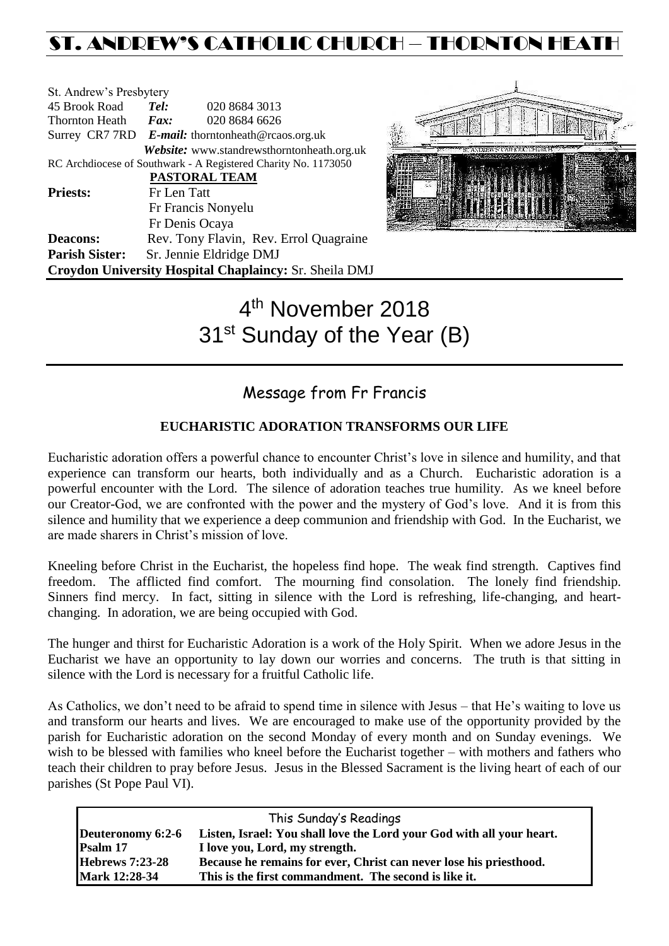# ST. ANDREW'S CATHOLIC CHURCH – THORNTON HEATH

| St. Andrew's Presbytery                                |                              |                                                                |  |  |
|--------------------------------------------------------|------------------------------|----------------------------------------------------------------|--|--|
| 45 Brook Road                                          | Tel:                         | 020 8684 3013                                                  |  |  |
| Thornton Heath                                         | $\boldsymbol{F}$ <i>ax</i> : | 020 8684 6626                                                  |  |  |
|                                                        |                              | Surrey CR7 7RD E-mail: thorntonheath@rcaos.org.uk              |  |  |
|                                                        |                              | Website: www.standrewsthorntonheath.org.uk                     |  |  |
|                                                        |                              | RC Archdiocese of Southwark - A Registered Charity No. 1173050 |  |  |
|                                                        |                              | <b>PASTORAL TEAM</b>                                           |  |  |
| <b>Priests:</b>                                        | Fr Len Tatt                  |                                                                |  |  |
|                                                        | Fr Francis Nonyelu           |                                                                |  |  |
|                                                        |                              | Fr Denis Ocaya                                                 |  |  |
| <b>Deacons:</b>                                        |                              | Rev. Tony Flavin, Rev. Errol Quagraine                         |  |  |
| <b>Parish Sister:</b>                                  | Sr. Jennie Eldridge DMJ      |                                                                |  |  |
| Croydon University Hospital Chaplaincy: Sr. Sheila DMJ |                              |                                                                |  |  |



# 4<sup>th</sup> November 2018 31<sup>st</sup> Sunday of the Year (B)

## Message from Fr Francis

#### **EUCHARISTIC ADORATION TRANSFORMS OUR LIFE**

Eucharistic adoration offers a powerful chance to encounter Christ's love in silence and humility, and that experience can transform our hearts, both individually and as a Church. Eucharistic adoration is a powerful encounter with the Lord. The silence of adoration teaches true humility. As we kneel before our Creator-God, we are confronted with the power and the mystery of God's love. And it is from this silence and humility that we experience a deep communion and friendship with God. In the Eucharist, we are made sharers in Christ's mission of love.

Kneeling before Christ in the Eucharist, the hopeless find hope. The weak find strength. Captives find freedom. The afflicted find comfort. The mourning find consolation. The lonely find friendship. Sinners find mercy. In fact, sitting in silence with the Lord is refreshing, life-changing, and heartchanging. In adoration, we are being occupied with God.

The hunger and thirst for Eucharistic Adoration is a work of the Holy Spirit. When we adore Jesus in the Eucharist we have an opportunity to lay down our worries and concerns. The truth is that sitting in silence with the Lord is necessary for a fruitful Catholic life.

As Catholics, we don't need to be afraid to spend time in silence with Jesus – that He's waiting to love us and transform our hearts and lives. We are encouraged to make use of the opportunity provided by the parish for Eucharistic adoration on the second Monday of every month and on Sunday evenings. We wish to be blessed with families who kneel before the Eucharist together – with mothers and fathers who teach their children to pray before Jesus. Jesus in the Blessed Sacrament is the living heart of each of our parishes (St Pope Paul VI).

| This Sunday's Readings |                                                                       |  |  |  |
|------------------------|-----------------------------------------------------------------------|--|--|--|
| Deuteronomy 6:2-6      | Listen, Israel: You shall love the Lord your God with all your heart. |  |  |  |
| Psalm 17               | I love you, Lord, my strength.                                        |  |  |  |
| <b>Hebrews 7:23-28</b> | Because he remains for ever, Christ can never lose his priesthood.    |  |  |  |
| <b>Mark 12:28-34</b>   | This is the first commandment. The second is like it.                 |  |  |  |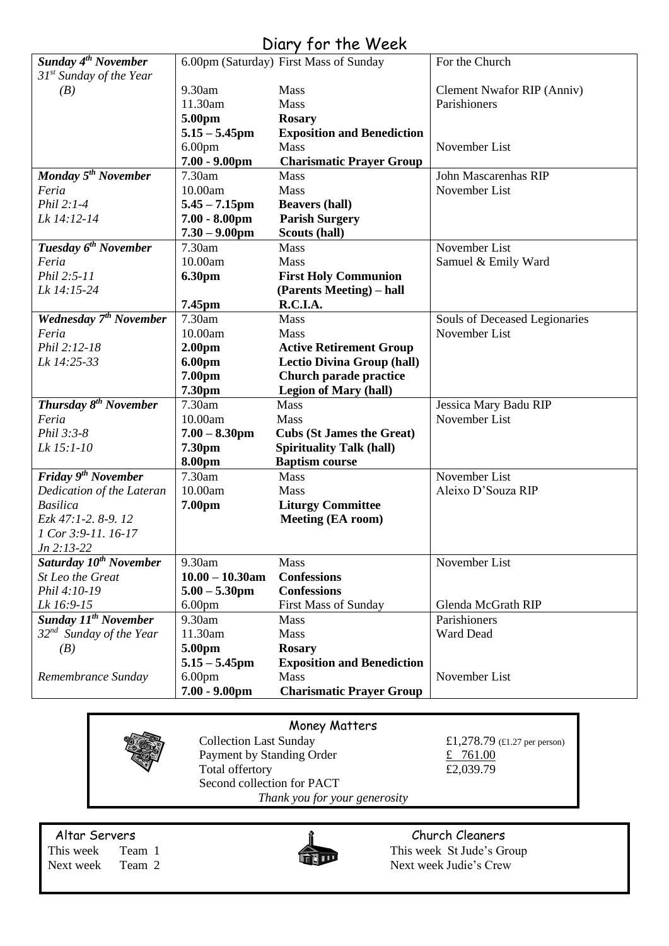## Diary for the Week

| Sunday 4 <sup>th</sup> November       |                    | 6.00pm (Saturday) First Mass of Sunday | For the Church                |
|---------------------------------------|--------------------|----------------------------------------|-------------------------------|
| $31st$ Sunday of the Year             |                    |                                        |                               |
| (B)                                   | 9.30am             | Mass                                   | Clement Nwafor RIP (Anniv)    |
|                                       | 11.30am            | Mass                                   | Parishioners                  |
|                                       | 5.00pm             | <b>Rosary</b>                          |                               |
|                                       | $5.15 - 5.45$ pm   | <b>Exposition and Benediction</b>      |                               |
|                                       | 6.00 <sub>pm</sub> | Mass                                   | November List                 |
|                                       | $7.00 - 9.00$ pm   | <b>Charismatic Prayer Group</b>        |                               |
| <b>Monday 5<sup>th</sup> November</b> | 7.30am             | <b>Mass</b>                            | John Mascarenhas RIP          |
| Feria                                 | 10.00am            | Mass                                   | November List                 |
| Phil 2:1-4                            | $5.45 - 7.15$ pm   | <b>Beavers (hall)</b>                  |                               |
| Lk 14:12-14                           | $7.00 - 8.00$ pm   | <b>Parish Surgery</b>                  |                               |
|                                       | $7.30 - 9.00$ pm   | Scouts (hall)                          |                               |
| Tuesday 6 <sup>th</sup> November      | 7.30am             | <b>Mass</b>                            | November List                 |
| Feria                                 | 10.00am            | Mass                                   | Samuel & Emily Ward           |
| Phil 2:5-11                           | 6.30pm             | <b>First Holy Communion</b>            |                               |
| Lk 14:15-24                           |                    | (Parents Meeting) – hall               |                               |
|                                       | 7.45pm             | R.C.I.A.                               |                               |
| Wednesday 7 <sup>th</sup> November    | 7.30am             | <b>Mass</b>                            | Souls of Deceased Legionaries |
| Feria                                 | 10.00am            | Mass                                   | November List                 |
| Phil 2:12-18                          | 2.00 <sub>pm</sub> | <b>Active Retirement Group</b>         |                               |
| Lk 14:25-33                           | 6.00pm             | <b>Lectio Divina Group (hall)</b>      |                               |
|                                       | 7.00pm             | Church parade practice                 |                               |
|                                       | 7.30pm             | <b>Legion of Mary (hall)</b>           |                               |
| Thursday 8 <sup>th</sup> November     | 7.30am             | Mass                                   | Jessica Mary Badu RIP         |
| Feria                                 | 10.00am            | Mass                                   | November List                 |
| Phil 3:3-8                            | $7.00 - 8.30$ pm   | <b>Cubs (St James the Great)</b>       |                               |
| Lk 15:1-10                            | 7.30pm             | <b>Spirituality Talk (hall)</b>        |                               |
|                                       | 8.00pm             | <b>Baptism course</b>                  |                               |
| Friday 9 <sup>th</sup> November       | 7.30am             | Mass                                   | November List                 |
| Dedication of the Lateran             | 10.00am            | Mass                                   | Aleixo D'Souza RIP            |
| <b>Basilica</b>                       | 7.00pm             | <b>Liturgy Committee</b>               |                               |
| Ezk 47:1-2. 8-9. 12                   |                    | <b>Meeting (EA room)</b>               |                               |
| 1 Cor 3:9-11. 16-17                   |                    |                                        |                               |
| $Jn 2:13-22$                          |                    |                                        |                               |
| Saturday 10 <sup>th</sup> November    | 9.30am             | Mass                                   | November List                 |
| St Leo the Great                      | $10.00 - 10.30$ am | <b>Confessions</b>                     |                               |
| Phil 4:10-19                          | $5.00 - 5.30$ pm   | <b>Confessions</b>                     |                               |
| Lk 16:9-15                            | 6.00 <sub>pm</sub> | <b>First Mass of Sunday</b>            | Glenda McGrath RIP            |
| Sunday 11 <sup>th</sup> November      | 9.30am             | Mass                                   | Parishioners                  |
| $32nd$ Sunday of the Year             | 11.30am            | <b>Mass</b>                            | Ward Dead                     |
| (B)                                   | 5.00pm             | <b>Rosary</b>                          |                               |
|                                       | $5.15 - 5.45$ pm   | <b>Exposition and Benediction</b>      |                               |
| Remembrance Sunday                    | 6.00 <sub>pm</sub> | Mass                                   | November List                 |
|                                       | $7.00 - 9.00$ pm   | <b>Charismatic Prayer Group</b>        |                               |
|                                       |                    |                                        |                               |

| Money Matters                 |                               |                              |  |  |
|-------------------------------|-------------------------------|------------------------------|--|--|
|                               | <b>Collection Last Sunday</b> | £1,278.79 (£1.27 per person) |  |  |
|                               | Payment by Standing Order     | 761.00                       |  |  |
|                               | Total offertory               | £2,039.79                    |  |  |
|                               | Second collection for PACT    |                              |  |  |
| Thank you for your generosity |                               |                              |  |  |



Altar Servers **Church Cleaners Church Cleaners** This week Team 1 This week St Jude's Group Next week Team 2 Next week Judie's Crew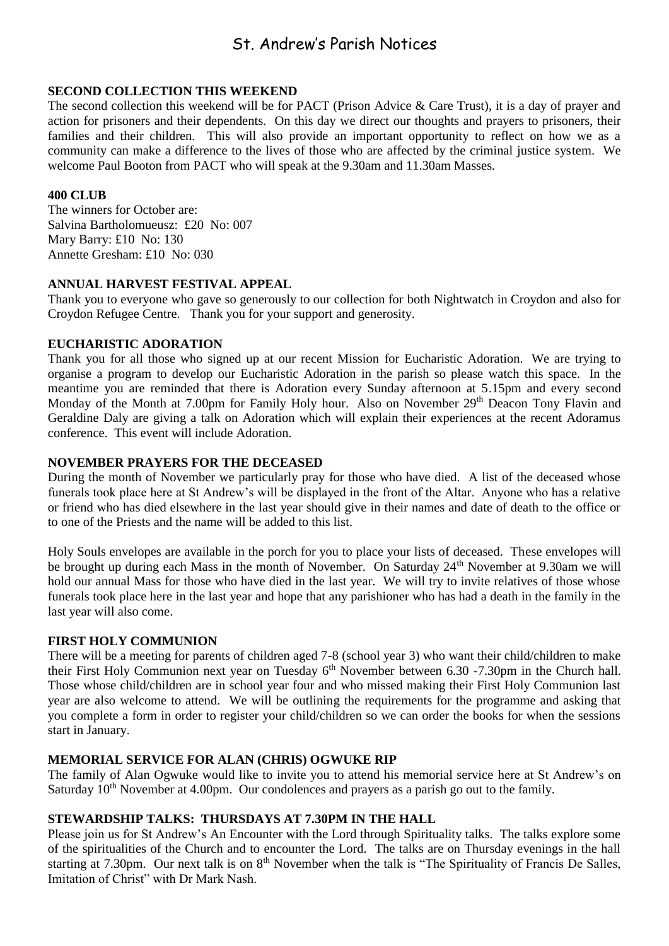### St. Andrew's Parish Notices

#### **SECOND COLLECTION THIS WEEKEND**

The second collection this weekend will be for PACT (Prison Advice & Care Trust), it is a day of prayer and action for prisoners and their dependents. On this day we direct our thoughts and prayers to prisoners, their families and their children. This will also provide an important opportunity to reflect on how we as a community can make a difference to the lives of those who are affected by the criminal justice system. We welcome Paul Booton from PACT who will speak at the 9.30am and 11.30am Masses.

#### **400 CLUB**

The winners for October are: Salvina Bartholomueusz: £20 No: 007 Mary Barry: £10 No: 130 Annette Gresham: £10 No: 030

#### **ANNUAL HARVEST FESTIVAL APPEAL**

Thank you to everyone who gave so generously to our collection for both Nightwatch in Croydon and also for Croydon Refugee Centre. Thank you for your support and generosity.

#### **EUCHARISTIC ADORATION**

Thank you for all those who signed up at our recent Mission for Eucharistic Adoration. We are trying to organise a program to develop our Eucharistic Adoration in the parish so please watch this space. In the meantime you are reminded that there is Adoration every Sunday afternoon at 5.15pm and every second Monday of the Month at 7.00pm for Family Holy hour. Also on November 29<sup>th</sup> Deacon Tony Flavin and Geraldine Daly are giving a talk on Adoration which will explain their experiences at the recent Adoramus conference. This event will include Adoration.

#### **NOVEMBER PRAYERS FOR THE DECEASED**

During the month of November we particularly pray for those who have died. A list of the deceased whose funerals took place here at St Andrew's will be displayed in the front of the Altar. Anyone who has a relative or friend who has died elsewhere in the last year should give in their names and date of death to the office or to one of the Priests and the name will be added to this list.

Holy Souls envelopes are available in the porch for you to place your lists of deceased. These envelopes will be brought up during each Mass in the month of November. On Saturday 24<sup>th</sup> November at 9.30am we will hold our annual Mass for those who have died in the last year. We will try to invite relatives of those whose funerals took place here in the last year and hope that any parishioner who has had a death in the family in the last year will also come.

#### **FIRST HOLY COMMUNION**

There will be a meeting for parents of children aged 7-8 (school year 3) who want their child/children to make their First Holy Communion next year on Tuesday  $6<sup>th</sup>$  November between 6.30 -7.30pm in the Church hall. Those whose child/children are in school year four and who missed making their First Holy Communion last year are also welcome to attend. We will be outlining the requirements for the programme and asking that you complete a form in order to register your child/children so we can order the books for when the sessions start in January.

#### **MEMORIAL SERVICE FOR ALAN (CHRIS) OGWUKE RIP**

The family of Alan Ogwuke would like to invite you to attend his memorial service here at St Andrew's on Saturday 10<sup>th</sup> November at 4.00pm. Our condolences and prayers as a parish go out to the family.

#### **STEWARDSHIP TALKS: THURSDAYS AT 7.30PM IN THE HALL**

Please join us for St Andrew's An Encounter with the Lord through Spirituality talks. The talks explore some of the spiritualities of the Church and to encounter the Lord. The talks are on Thursday evenings in the hall starting at 7.30pm. Our next talk is on 8<sup>th</sup> November when the talk is "The Spirituality of Francis De Salles, Imitation of Christ" with Dr Mark Nash.